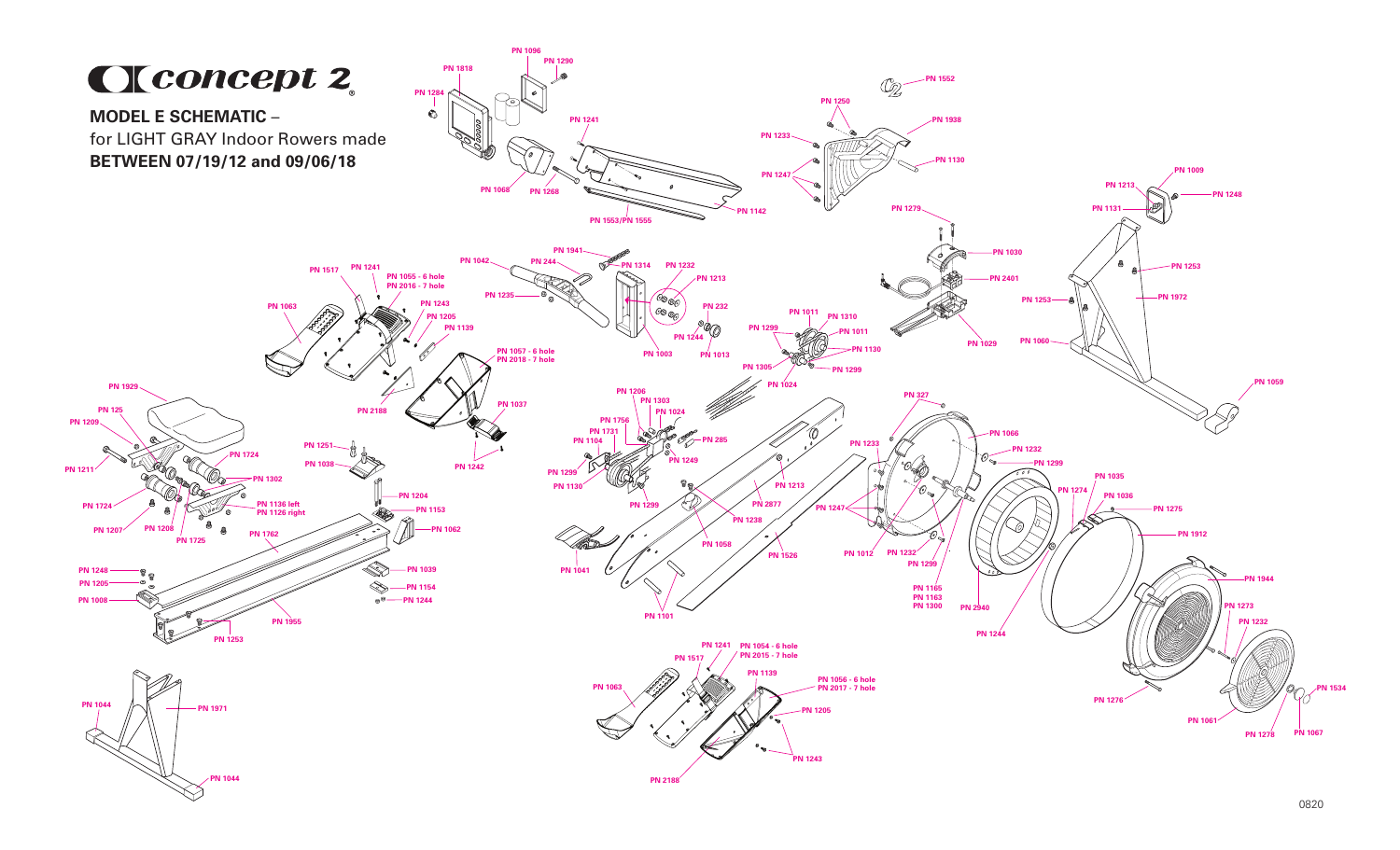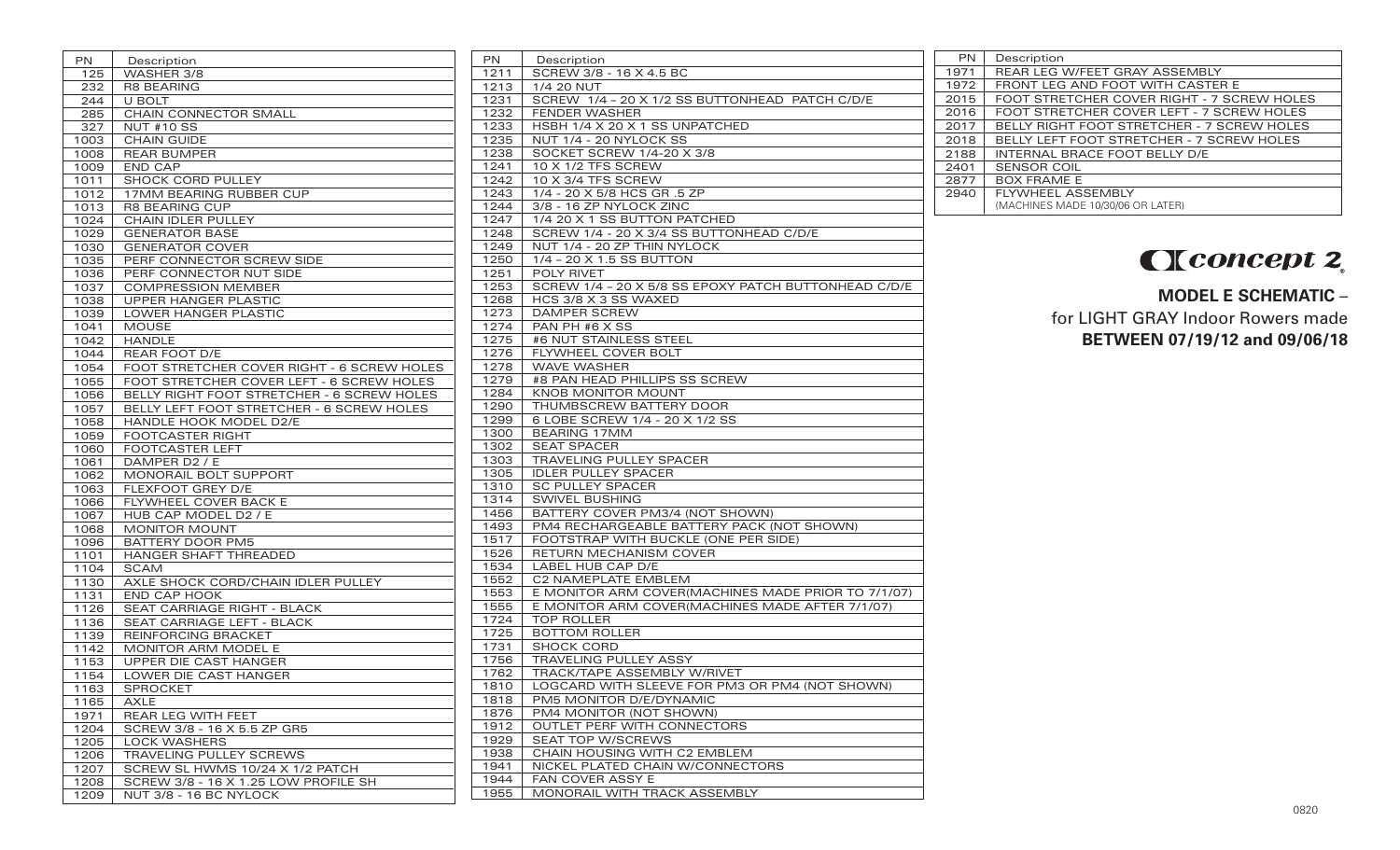| <b>PN</b>    | Description                                               | <b>PN</b> | Des             |
|--------------|-----------------------------------------------------------|-----------|-----------------|
| 125          | WASHER 3/8                                                | 1211      | <b>SCR</b>      |
| 232          | <b>R8 BEARING</b>                                         | 1213      | 1/4             |
| 244          | U BOLT                                                    | 1231      | <b>SCR</b>      |
| 285          | CHAIN CONNECTOR SMALL                                     | 1232      | <b>FEN</b>      |
| 327          | <b>NUT #10 SS</b>                                         | 1233      | <b>HSB</b>      |
| 1003         | <b>CHAIN GUIDE</b>                                        | 1235      | <b>NUT</b>      |
| 1008         | <b>REAR BUMPER</b>                                        | 1238      | SOC             |
| 1009         | <b>END CAP</b>                                            | 1241      | 10 <sub>2</sub> |
| 1011         | <b>SHOCK CORD PULLEY</b>                                  | 1242      | 10 <sub>2</sub> |
| 1012         | 17MM BEARING RUBBER CUP                                   | 1243      | 1/4             |
| 1013         | <b>R8 BEARING CUP</b>                                     | 1244      | 3/8             |
| 1024         | CHAIN IDLER PULLEY                                        | 1247      | 1/4             |
| 1029         | <b>GENERATOR BASE</b>                                     | 1248      | <b>SCR</b>      |
| 1030         | <b>GENERATOR COVER</b>                                    | 1249      | <b>NUT</b>      |
| 1035         | PERF CONNECTOR SCREW SIDE                                 | 1250      | 1/4             |
| 1036         | PERF CONNECTOR NUT SIDE                                   | 1251      | POL             |
| 1037         | <b>COMPRESSION MEMBER</b>                                 | 1253      | <b>SCR</b>      |
| 1038         | UPPER HANGER PLASTIC                                      | 1268      | <b>HCS</b>      |
| 1039         | LOWER HANGER PLASTIC                                      | 1273      | <b>DAN</b>      |
| 1041         | <b>MOUSE</b>                                              | 1274      | <b>PAN</b>      |
| 1042         | <b>HANDLE</b>                                             | 1275      | #6 N            |
| 1044         | <b>REAR FOOT D/E</b>                                      | 1276      | FLY\            |
| 1054         | FOOT STRETCHER COVER RIGHT - 6 SCREW HOLES                | 1278      | <b>WA</b>       |
| 1055         | FOOT STRETCHER COVER LEFT - 6 SCREW HOLES                 | 1279      | #8 F            |
| 1056         | BELLY RIGHT FOOT STRETCHER - 6 SCREW HOLES                | 1284      | <b>KNC</b>      |
| 1057         | BELLY LEFT FOOT STRETCHER - 6 SCREW HOLES                 | 1290      | <b>THU</b>      |
| 1058         | HANDLE HOOK MODEL D2/E                                    | 1299      | 6 LC            |
| 1059         | <b>FOOTCASTER RIGHT</b>                                   | 1300      | <b>BEA</b>      |
| 1060         | FOOTCASTER LEFT                                           | 1302      | <b>SEA</b>      |
| 1061         | DAMPER D2 / E                                             | 1303      | <b>TRA</b>      |
| 1062         | MONORAIL BOLT SUPPORT                                     | 1305      | <b>IDLE</b>     |
| 1063         | FLEXFOOT GREY D/E                                         | 1310      | SC R            |
| 1066         | FLYWHEEL COVER BACK E                                     | 1314      | SWI             |
| 1067         | HUB CAP MODEL D2 / E                                      | 1456      | <b>BAT</b>      |
| 1068         | <b>MONITOR MOUNT</b>                                      | 1493      | PM <sub>2</sub> |
|              | <b>BATTERY DOOR PM5</b>                                   | 1517      | FOC             |
| 1096         | HANGER SHAFT THREADED                                     | 1526      | <b>RET</b>      |
| 1101         | <b>SCAM</b>                                               | 1534      | LAB             |
| 1104         |                                                           | 1552      | C2 <sub>1</sub> |
| 1130<br>1131 | AXLE SHOCK CORD/CHAIN IDLER PULLEY<br><b>END CAP HOOK</b> | 1553      | E M             |
|              | SEAT CARRIAGE RIGHT - BLACK                               | 1555      | E M             |
| 1126         |                                                           | 1724      | <b>TOP</b>      |
| 1136<br>1139 | SEAT CARRIAGE LEFT - BLACK<br><b>REINFORCING BRACKET</b>  | 1725      | <b>BOT</b>      |
|              |                                                           | 1731      | <b>SHC</b>      |
| 1142         | MONITOR ARM MODEL E                                       | 1756      | <b>TRA</b>      |
| 1153         | UPPER DIE CAST HANGER                                     | 1762      | <b>TRA</b>      |
| 1154         | LOWER DIE CAST HANGER                                     | 1810      | LOG             |
| 1163         | <b>SPROCKET</b>                                           | 1818      | <b>PM</b>       |
| 1165         | AXLE                                                      | 1876      | PM4             |
| 1971         | REAR LEG WITH FEET                                        | 1912      | <b>OUT</b>      |
| 1204         | SCREW 3/8 - 16 X 5.5 ZP GR5                               | 1929      | <b>SEA</b>      |
| 1205         | <b>LOCK WASHERS</b>                                       | 1938      | CHA             |
| 1206         | TRAVELING PULLEY SCREWS                                   | 1941      | <b>NICI</b>     |
| 1207         | SCREW SL HWMS 10/24 X 1/2 PATCH                           | 1944      | <b>FAN</b>      |
| 1208         | SCREW 3/8 - 16 X 1.25 LOW PROFILE SH                      |           |                 |
| 1209         | NUT 3/8 - 16 BC NYLOCK                                    | 1955      | <b>MOI</b>      |

| PN   | Description                                          |
|------|------------------------------------------------------|
| 1211 | SCREW 3/8 - 16 X 4.5 BC                              |
| 1213 | 1/4 20 NUT                                           |
| 1231 | SCREW 1/4 - 20 X 1/2 SS BUTTONHEAD PATCH C/D/E       |
| 1232 | <b>FENDER WASHER</b>                                 |
| 1233 | HSBH 1/4 X 20 X 1 SS UNPATCHED                       |
| 1235 | NUT 1/4 - 20 NYLOCK SS                               |
| 1238 | SOCKET SCREW 1/4-20 X 3/8                            |
| 1241 | 10 X 1/2 TFS SCREW                                   |
| 1242 | 10 X 3/4 TFS SCREW                                   |
| 1243 | 1/4 - 20 X 5/8 HCS GR .5 ZP                          |
| 1244 | 3/8 - 16 ZP NYLOCK ZINC                              |
| 1247 | 1/4 20 X 1 SS BUTTON PATCHED                         |
| 1248 | SCREW 1/4 - 20 X 3/4 SS BUTTONHEAD C/D/E             |
| 1249 | NUT 1/4 - 20 ZP THIN NYLOCK                          |
| 1250 | 1/4 - 20 X 1.5 SS BUTTON                             |
| 1251 | <b>POLY RIVET</b>                                    |
| 1253 | SCREW 1/4 - 20 X 5/8 SS EPOXY PATCH BUTTONHEAD C/D/E |
| 1268 | HCS 3/8 X 3 SS WAXED                                 |
| 1273 | <b>DAMPER SCREW</b>                                  |
| 1274 | PAN PH #6 X SS                                       |
| 1275 | #6 NUT STAINLESS STEEL                               |
| 1276 | FLYWHEEL COVER BOLT                                  |
| 1278 | <b>WAVE WASHER</b>                                   |
| 1279 | #8 PAN HEAD PHILLIPS SS SCREW                        |
| 1284 | KNOB MONITOR MOUNT                                   |
| 1290 | THUMBSCREW BATTERY DOOR                              |
| 1299 | 6 LOBE SCREW 1/4 - 20 X 1/2 SS                       |
| 1300 | <b>BEARING 17MM</b>                                  |
| 1302 | <b>SEAT SPACER</b>                                   |
| 1303 | TRAVELING PULLEY SPACER                              |
| 1305 | <b>IDLER PULLEY SPACER</b>                           |
| 1310 | <b>SC PULLEY SPACER</b>                              |
| 1314 | <b>SWIVEL BUSHING</b>                                |
| 1456 | BATTERY COVER PM3/4 (NOT SHOWN)                      |
| 1493 | PM4 RECHARGEABLE BATTERY PACK (NOT SHOWN)            |
| 1517 | FOOTSTRAP WITH BUCKLE (ONE PER SIDE)                 |
| 1526 | RETURN MECHANISM COVER                               |
| 1534 | LABEL HUB CAP D/E                                    |
| 1552 | C2 NAMEPLATE EMBLEM                                  |
| 1553 | E MONITOR ARM COVER(MACHINES MADE PRIOR TO 7/1/07)   |
| 1555 | E MONITOR ARM COVER(MACHINES MADE AFTER 7/1/07)      |
| 1724 | <b>TOP ROLLER</b>                                    |
| 1725 | <b>BOTTOM ROLLER</b>                                 |
| 1731 | <b>SHOCK CORD</b>                                    |
| 1756 | <b>TRAVELING PULLEY ASSY</b>                         |
| 1762 | TRACK/TAPE ASSEMBLY W/RIVET                          |
| 1810 | LOGCARD WITH SLEEVE FOR PM3 OR PM4 (NOT SHOWN)       |
| 1818 | PM5 MONITOR D/E/DYNAMIC                              |
| 1876 | PM4 MONITOR (NOT SHOWN)                              |
| 1912 | OUTLET PERF WITH CONNECTORS                          |
| 1929 | <b>SEAT TOP W/SCREWS</b>                             |
| 1938 | CHAIN HOUSING WITH C2 EMBLEM                         |
| 1941 | NICKEL PLATED CHAIN W/CONNECTORS                     |
| 1944 | FAN COVER ASSY E                                     |
| 1955 | MONORAIL WITH TRACK ASSEMBLY                         |

| <b>PN</b> | Description                                       |
|-----------|---------------------------------------------------|
| 1971      | REAR LEG W/FEET GRAY ASSEMBLY                     |
| 1972      | FRONT LEG AND FOOT WITH CASTER E                  |
| 2015      | FOOT STRETCHER COVER RIGHT - 7 SCREW HOLES        |
| 2016      | FOOT STRETCHER COVER LEFT - 7 SCREW HOLES         |
| 2017      | <b>BELLY RIGHT FOOT STRETCHER - 7 SCREW HOLES</b> |
| 2018      | BELLY LEFT FOOT STRETCHER - 7 SCREW HOLES         |
| 2188      | <b>INTERNAL BRACE FOOT BELLY D/E</b>              |
| 2401      | <b>SENSOR COIL</b>                                |
| 2877      | <b>BOX FRAME E</b>                                |
| 2940      | <b>FLYWHEEL ASSEMBLY</b>                          |
|           | (MACHINES MADE 10/30/06 OR LATER)                 |
|           |                                                   |

## Cleoncept 2.

**MODEL E SCHEMATIC** – for LIGHT GRAY Indoor Rowers made **BETWEEN 07/19/12 and 09/06/18**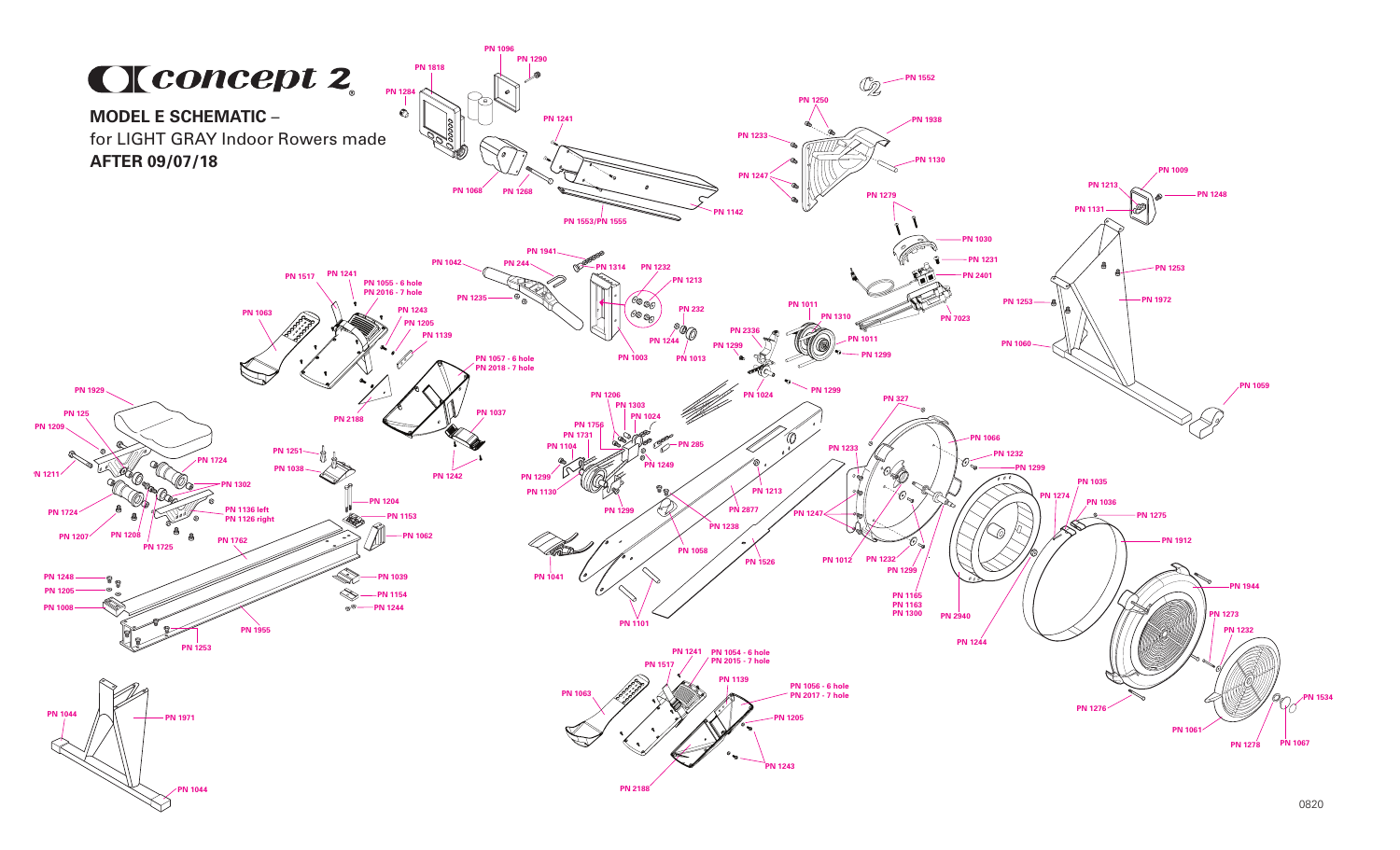